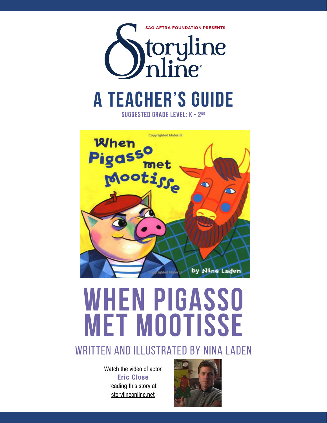



# **when pigasso met mootisse**

# WRITTEN AND ILLUSTRATED BY NINA LADEN

Watch the video of actor Eric Close reading this story at storylineonline.net

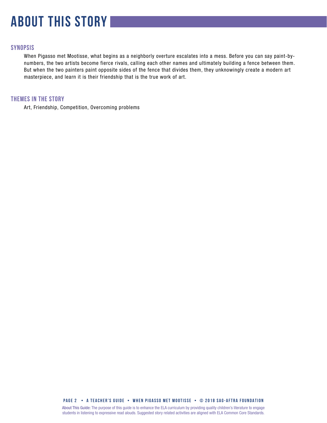# **about this story**

# **SYNOPSIS**

When Pigasso met Mootisse, what begins as a neighborly overture escalates into a mess. Before you can say paint-bynumbers, the two artists become fierce rivals, calling each other names and ultimately building a fence between them. But when the two painters paint opposite sides of the fence that divides them, they unknowingly create a modern art masterpiece, and learn it is their friendship that is the true work of art.

# **THEMES IN THE STORY**

Art, Friendship, Competition, Overcoming problems

**PAGE 2 • A teacher's GUIDE • when pigasso met mootisSe • © 2018 SAG-AFTRA FOUNDATION**

About This Guide: The purpose of this guide is to enhance the ELA curriculum by providing quality children's literature to engage students in listening to expressive read alouds. Suggested story related activities are aligned with ELA Common Core Standards.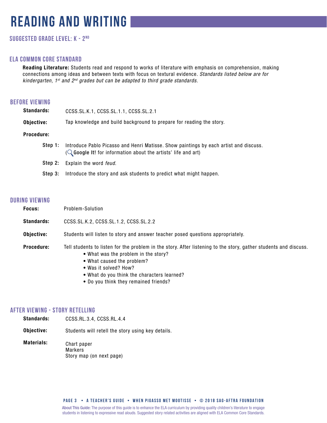# **reading and writing**

# **Suggested grade level: k - 2nd**

# **ela common core standard**

Reading Literature: Students read and respond to works of literature with emphasis on comprehension, making connections among ideas and between texts with focus on textural evidence. *Standards listed below are for kindergarten, 1st and 2nd grades but can be adapted to third grade standards.*

# **before viewing**

| <b>Standards:</b> | CCSS.SL.K.1, CCSS.SL.1.1, CCSS.SL.2.1                                                                                                                              |
|-------------------|--------------------------------------------------------------------------------------------------------------------------------------------------------------------|
| Objective:        | Tap knowledge and build background to prepare for reading the story.                                                                                               |
| <b>Procedure:</b> |                                                                                                                                                                    |
| Step 1:           | Introduce Pablo Picasso and Henri Matisse. Show paintings by each artist and discuss.<br>( $\mathbb Q$ Google It! for information about the artists' life and art) |
| Step 2:           | Explain the word <i>feud</i> .                                                                                                                                     |
| Step 3:           | Introduce the story and ask students to predict what might happen.                                                                                                 |

# **during viewing**

| Focus:            | Problem-Solution                                                                                                                                                                                                                                                                                        |
|-------------------|---------------------------------------------------------------------------------------------------------------------------------------------------------------------------------------------------------------------------------------------------------------------------------------------------------|
| <b>Standards:</b> | CCSS.SL.K.2, CCSS.SL.1.2, CCSS.SL.2.2                                                                                                                                                                                                                                                                   |
| Objective:        | Students will listen to story and answer teacher posed questions appropriately.                                                                                                                                                                                                                         |
| Procedure:        | Tell students to listen for the problem in the story. After listening to the story, gather students and discuss.<br>• What was the problem in the story?<br>• What caused the problem?<br>• Was it solved? How?<br>• What do you think the characters learned?<br>• Do you think they remained friends? |

# **after viewing - Story Retelling**

- Standards: CCSS.RL.3.4, CCSS.RL.4.4
- Objective: Students will retell the story using key details.
- Materials: Chart paper Markers Story map (on next page)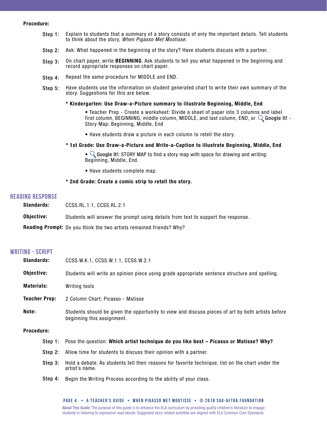#### Procedure:

- Step 1: Explain to students that a summary of a story consists of only the important details. Tell students to think about the story, *When Pigasso Met Mootisse*.
- Step 2: Ask: What happened in the beginning of the story? Have students discuss with a partner.
- Step 3: On chart paper, write BEGINNING. Ask students to tell you what happened in the beginning and record appropriate responses on chart paper.
- Step 4: Repeat the same procedure for MIDDLE and END.
- Step 5: Have students use the information on student generated chart to write their own summary of the story. Suggestions for this are below.

#### \* Kindergarten: Use Draw-a-Picture summary to illustrate Beginning, Middle, End

• Teacher Prep - Create a worksheet: Divide a sheet of paper into 3 columns and label first column, BEGINNING, middle column, MIDDLE, and last column, END, or  $\mathbb Q$  Google It! -Story Map: Beginning, Middle, End

• Have students draw a picture in each column to retell the story.

#### \* 1st Grade: Use Draw-a-Picture and Write-a-Caption to illustrate Beginning, Middle, End

•  $\mathbb Q$  Google It!: STORY MAP to find a story map with space for drawing and writing: Beginning, Middle, End.

• Have students complete map.

#### \* 2nd Grade: Create a comic strip to retell the story.

#### **reading response**

| <b>Standards:</b> | CCSS.RL.1.1. CCSS.RL.2.1                                                         |
|-------------------|----------------------------------------------------------------------------------|
| Objective:        | Students will answer the prompt using details from text to support the response. |
|                   | <b>Reading Prompt:</b> Do you think the two artists remained friends? Why?       |

### **writing - script**

| <b>Standards:</b>    | CCSS.W.K.1, CCSS.W.1.1, CCSS.W.2.1                                                                                              |
|----------------------|---------------------------------------------------------------------------------------------------------------------------------|
| Objective:           | Students will write an opinion piece using grade appropriate sentence structure and spelling.                                   |
| <b>Materials:</b>    | Writing tools                                                                                                                   |
| <b>Teacher Prep:</b> | 2 Column Chart: Picasso - Matisse                                                                                               |
| Note:                | Students should be given the opportunity to view and discuss pieces of art by both artists before<br>beginning this assignment. |
| <b>Procedure:</b>    |                                                                                                                                 |
|                      | Step 1: Pose the question: Which artist technique do you like best - Picasso or Matisse? Why?                                   |
|                      | Step 2: Allow time for students to discuss their opinion with a partner.                                                        |
| Step 3:              | Hold a debate. As students tell their reasons for favorite technique, list on the chart under the<br>artist's name.             |
| Step 4:              | Begin the Writing Process according to the ability of your class.                                                               |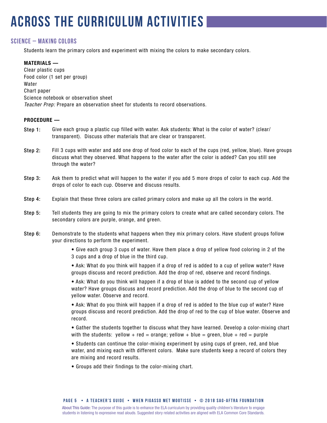# **across the curriculum activities**

# **SCIENCE – MAKING COLORs**

Students learn the primary colors and experiment with mixing the colors to make secondary colors.

### MATERIALS —

Clear plastic cups Food color (1 set per group) Water Chart paper Science notebook or observation sheet *Teacher Prep:* Prepare an observation sheet for students to record observations.

### PROCEDURE —

- Give each group a plastic cup filled with water. Ask students: What is the color of water? (clear/ transparent). Discuss other materials that are clear or transparent. Step 1:
- Fill 3 cups with water and add one drop of food color to each of the cups (red, yellow, blue). Have groups discuss what they observed. What happens to the water after the color is added? Can you still see through the water? Step 2:
- Ask them to predict what will happen to the water if you add 5 more drops of color to each cup. Add the drops of color to each cup. Observe and discuss results. Step 3:
- Explain that these three colors are called primary colors and make up all the colors in the world. Step 4:
- Tell students they are going to mix the primary colors to create what are called secondary colors. The secondary colors are purple, orange, and green. Step 5:
- Demonstrate to the students what happens when they mix primary colors. Have student groups follow your directions to perform the experiment. Step 6:

• Give each group 3 cups of water. Have them place a drop of yellow food coloring in 2 of the 3 cups and a drop of blue in the third cup.

• Ask: What do you think will happen if a drop of red is added to a cup of yellow water? Have groups discuss and record prediction. Add the drop of red, observe and record findings.

• Ask: What do you think will happen if a drop of blue is added to the second cup of yellow water? Have groups discuss and record prediction. Add the drop of blue to the second cup of yellow water. Observe and record.

• Ask: What do you think will happen if a drop of red is added to the blue cup of water? Have groups discuss and record prediction. Add the drop of red to the cup of blue water. Observe and record.

• Gather the students together to discuss what they have learned. Develop a color-mixing chart with the students: yellow + red = orange; yellow + blue = green, blue + red = purple

• Students can continue the color-mixing experiment by using cups of green, red, and blue water, and mixing each with different colors. Make sure students keep a record of colors they are mixing and record results.

• Groups add their findings to the color-mixing chart.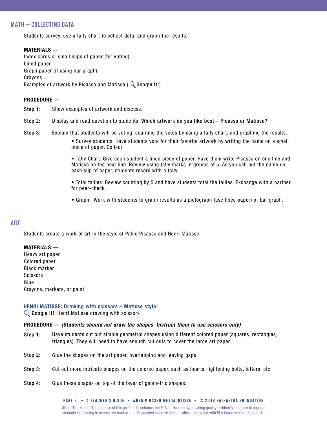# **MATH – COLLECTING DATA**

Students survey, use a tally chart to collect data, and graph the results.

### MATERIALS —

Index cards or small slips of paper (for voting) Lined paper Graph paper (if using bar graph) Crayons Examples of artwork by Picasso and Matisse ( $\mathbb Q$  Google It!)

### PROCEDURE —

- Show examples of artwork and discuss. Step 1:
- Display and read question to students: Which artwork do you like best Picasso or Matisse? Step 2:
- Explain that students will be voting, counting the votes by using a tally chart, and graphing the results. Step 3:

• Survey students: Have students vote for their favorite artwork by writing the name on a small piece of paper. Collect.

• Tally Chart: Give each student a lined piece of paper. Have them write Picasso on one line and Matisse on the next line. Review using tally marks in groups of 5. As you call out the name on each slip of paper, students record with a tally.

• Total tallies: Review counting by 5 and have students total the tallies. Exchange with a partner for peer-check.

• Graph: Work with students to graph results as a pictograph (use lined paper) or bar graph.

# **ART**

Students create a work of art in the style of Pablo Picasso and Henri Matisse.

#### MATERIALS —

Heavy art paper Colored paper Black marker **Scissors** Glue Crayons, markers, or paint

### HENRI MATISSE: Drawing with scissors – Matisse style!

 $\mathbb Q$  Google It!: Henri Matisse drawing with scissors

### PROCEDURE — *(Students should not draw the shapes. Instruct them to use scissors only)*

- Have students cut out simple geometric shapes using different colored paper (squares, rectangles, triangles). They will need to have enough cut outs to cover the large art paper. Step 1:
- Glue the shapes on the art paper, overlapping and leaving gaps. Step 2:
- Cut out more intricate shapes on the colored paper, such as hearts, lightening bolts, letters, etc. Step 3:
- Glue these shapes on top of the layer of geometric shapes. Step 4:

About This Guide: The purpose of this guide is to enhance the ELA curriculum by providing quality children's literature to engage students in listening to expressive read alouds. Suggested story related activities are aligned with ELA Common Core Standards. **PAGE 6 • A teacher's GUIDE • when pigasso met mootisSe • © 2018 SAG-AFTRA FOUNDATION**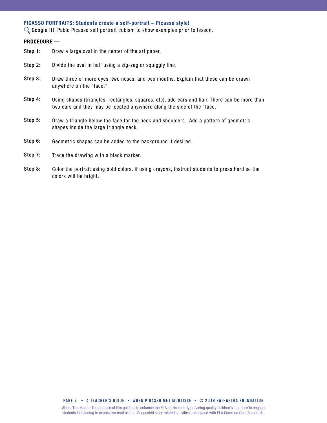#### PICASSO PORTRAITS: Students create a self-portrait – Picasso style!

 $\mathbb Q$  Google It!: Pablo Picasso self portrait cubism to show examples prior to lesson.

#### PROCEDURE —

- Draw a large oval in the center of the art paper. Step 1:
- Divide the oval in half using a zig-zag or squiggly line. Step 2:
- Draw three or more eyes, two noses, and two mouths. Explain that these can be drawn anywhere on the "face." Step 3:
- Using shapes (triangles, rectangles, squares, etc), add ears and hair. There can be more than two ears and they may be located anywhere along the side of the "face." Step 4:
- Draw a triangle below the face for the neck and shoulders. Add a pattern of geometric shapes inside the large triangle neck. Step 5:
- Geometric shapes can be added to the background if desired. Step 6:
- Trace the drawing with a black marker. Step 7:
- Color the portrait using bold colors. If using crayons, instruct students to press hard so the colors will be bright. Step 8:

#### **PAGE 7 • A teacher's GUIDE • when pigasso met mootisSe • © 2018 SAG-AFTRA FOUNDATION**